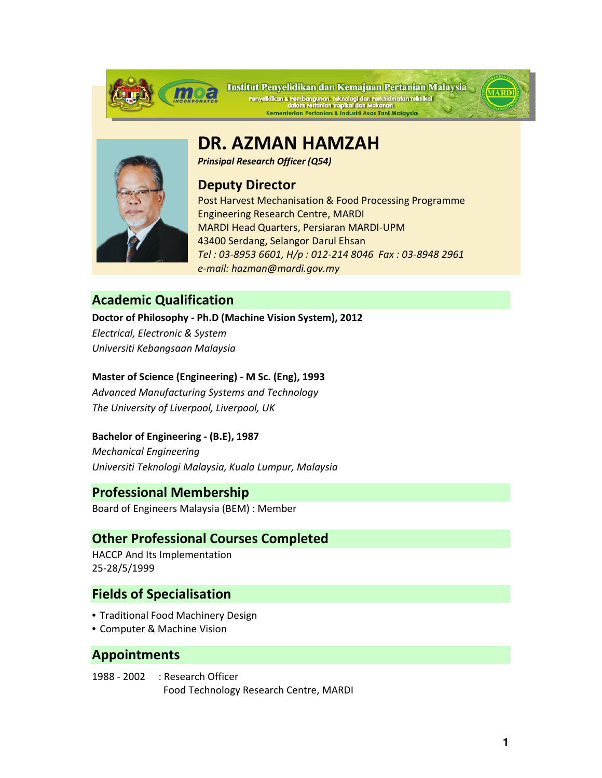

Institut Penyelidikan dan Kemajuan Pertanian Malaysia

Penyelidikan & Pembangunan, Teknologi dan Perkhidmatan Teknikal<br>dalam Perlanian Tropikal dan Makanan<br>Kementerian Perlanian & Industri Asas Tani Malaysia

# DR. AZMAN HAMZAH



Prinsipal Research Officer (Q54)

# Deputy Director

Post Harvest Mechanisation & Food Processing Programme Engineering Research Centre, MARDI MARDI Head Quarters, Persiaran MARDI-UPM 43400 Serdang, Selangor Darul Ehsan Tel : 03-8953 6601, H/p : 012-214 8046 Fax : 03-8948 2961 e-mail: hazman@mardi.gov.my

# Academic Qualification

Doctor of Philosophy - Ph.D (Machine Vision System), 2012 Electrical, Electronic & System Universiti Kebangsaan Malaysia

### Master of Science (Engineering) - M Sc. (Eng), 1993

Advanced Manufacturing Systems and Technology The University of Liverpool, Liverpool, UK

### Bachelor of Engineering - (B.E), 1987

Mechanical Engineering Universiti Teknologi Malaysia, Kuala Lumpur, Malaysia

# Professional Membership

Board of Engineers Malaysia (BEM) : Member

# Other Professional Courses Completed

HACCP And Its Implementation 25-28/5/1999

### Fields of Specialisation

- Traditional Food Machinery Design
- Computer & Machine Vision

### Appointments

1988 - 2002 : Research Officer Food Technology Research Centre, MARDI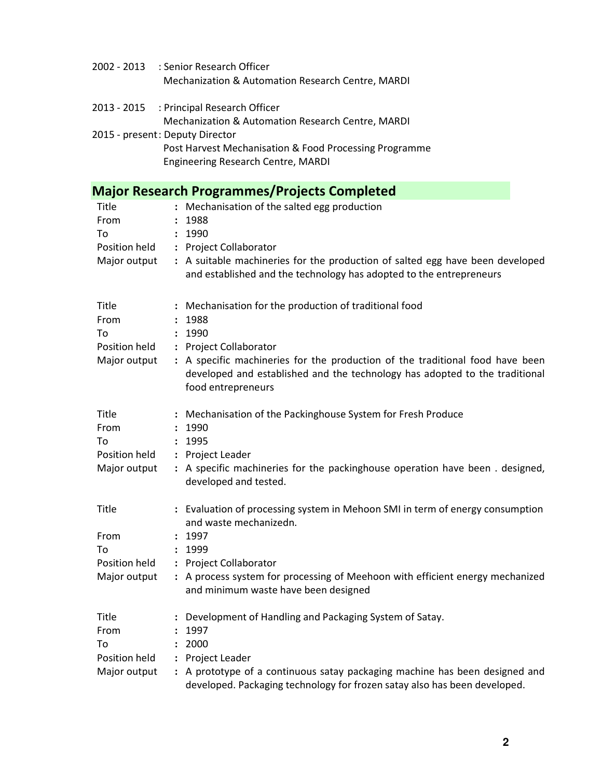| 2002 - 2013 : Senior Research Officer             |
|---------------------------------------------------|
| Mechanization & Automation Research Centre, MARDI |
|                                                   |

2013 - 2015 : Principal Research Officer Mechanization & Automation Research Centre, MARDI 2015 - present : Deputy Director

> Post Harvest Mechanisation & Food Processing Programme Engineering Research Centre, MARDI

| <b>Major Research Programmes/Projects Completed</b> |                                                                                                                                                                                    |  |  |  |
|-----------------------------------------------------|------------------------------------------------------------------------------------------------------------------------------------------------------------------------------------|--|--|--|
| Title                                               | Mechanisation of the salted egg production                                                                                                                                         |  |  |  |
| From                                                | 1988                                                                                                                                                                               |  |  |  |
| To                                                  | 1990                                                                                                                                                                               |  |  |  |
| Position held                                       | : Project Collaborator                                                                                                                                                             |  |  |  |
| Major output                                        | : A suitable machineries for the production of salted egg have been developed<br>and established and the technology has adopted to the entrepreneurs                               |  |  |  |
| Title                                               | Mechanisation for the production of traditional food                                                                                                                               |  |  |  |
| From                                                | 1988                                                                                                                                                                               |  |  |  |
| To                                                  | 1990                                                                                                                                                                               |  |  |  |
| Position held                                       | : Project Collaborator                                                                                                                                                             |  |  |  |
| Major output                                        | : A specific machineries for the production of the traditional food have been<br>developed and established and the technology has adopted to the traditional<br>food entrepreneurs |  |  |  |
| Title                                               | : Mechanisation of the Packinghouse System for Fresh Produce                                                                                                                       |  |  |  |
| From                                                | 1990                                                                                                                                                                               |  |  |  |
| To                                                  | : 1995                                                                                                                                                                             |  |  |  |
| Position held                                       | : Project Leader                                                                                                                                                                   |  |  |  |
| Major output                                        | : A specific machineries for the packinghouse operation have been. designed,<br>developed and tested.                                                                              |  |  |  |
| Title                                               | : Evaluation of processing system in Mehoon SMI in term of energy consumption<br>and waste mechanizedn.                                                                            |  |  |  |
| From                                                | 1997                                                                                                                                                                               |  |  |  |
| To                                                  | : 1999                                                                                                                                                                             |  |  |  |
| Position held                                       | : Project Collaborator                                                                                                                                                             |  |  |  |
| Major output                                        | : A process system for processing of Meehoon with efficient energy mechanized<br>and minimum waste have been designed                                                              |  |  |  |
| Title                                               | Development of Handling and Packaging System of Satay.                                                                                                                             |  |  |  |
| From                                                | : 1997                                                                                                                                                                             |  |  |  |
| To                                                  | : 2000                                                                                                                                                                             |  |  |  |
| Position held                                       | : Project Leader                                                                                                                                                                   |  |  |  |
| Major output                                        | : A prototype of a continuous satay packaging machine has been designed and<br>developed. Packaging technology for frozen satay also has been developed.                           |  |  |  |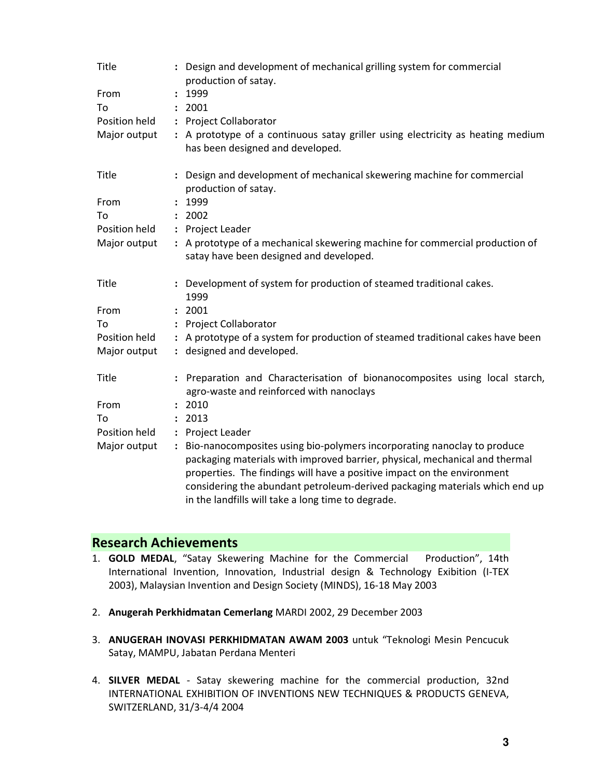| Title                         |                | : Design and development of mechanical grilling system for commercial<br>production of satay.                                                                                                                                                                                                                                                                          |
|-------------------------------|----------------|------------------------------------------------------------------------------------------------------------------------------------------------------------------------------------------------------------------------------------------------------------------------------------------------------------------------------------------------------------------------|
| From                          |                | 1999                                                                                                                                                                                                                                                                                                                                                                   |
| To                            |                | : 2001                                                                                                                                                                                                                                                                                                                                                                 |
| Position held                 | $\ddot{\cdot}$ | <b>Project Collaborator</b>                                                                                                                                                                                                                                                                                                                                            |
| Major output                  |                | : A prototype of a continuous satay griller using electricity as heating medium<br>has been designed and developed.                                                                                                                                                                                                                                                    |
| Title                         |                | : Design and development of mechanical skewering machine for commercial<br>production of satay.                                                                                                                                                                                                                                                                        |
| From                          |                | 1999                                                                                                                                                                                                                                                                                                                                                                   |
| To                            |                | : 2002                                                                                                                                                                                                                                                                                                                                                                 |
| Position held                 | $\ddot{\cdot}$ | Project Leader                                                                                                                                                                                                                                                                                                                                                         |
| Major output                  |                | : A prototype of a mechanical skewering machine for commercial production of<br>satay have been designed and developed.                                                                                                                                                                                                                                                |
| Title                         |                | : Development of system for production of steamed traditional cakes.<br>1999                                                                                                                                                                                                                                                                                           |
| From                          |                | : 2001                                                                                                                                                                                                                                                                                                                                                                 |
| To                            |                | <b>Project Collaborator</b>                                                                                                                                                                                                                                                                                                                                            |
| Position held<br>Major output |                | A prototype of a system for production of steamed traditional cakes have been<br>: designed and developed.                                                                                                                                                                                                                                                             |
| Title                         |                | : Preparation and Characterisation of bionanocomposites using local starch,<br>agro-waste and reinforced with nanoclays                                                                                                                                                                                                                                                |
| From                          |                | 2010                                                                                                                                                                                                                                                                                                                                                                   |
| To                            |                | 2013                                                                                                                                                                                                                                                                                                                                                                   |
| Position held                 |                | : Project Leader                                                                                                                                                                                                                                                                                                                                                       |
| Major output                  |                | Bio-nanocomposites using bio-polymers incorporating nanoclay to produce<br>packaging materials with improved barrier, physical, mechanical and thermal<br>properties. The findings will have a positive impact on the environment<br>considering the abundant petroleum-derived packaging materials which end up<br>in the landfills will take a long time to degrade. |

### Research Achievements

- 1. GOLD MEDAL, "Satay Skewering Machine for the Commercial Production", 14th International Invention, Innovation, Industrial design & Technology Exibition (I-TEX 2003), Malaysian Invention and Design Society (MINDS), 16-18 May 2003
- 2. Anugerah Perkhidmatan Cemerlang MARDI 2002, 29 December 2003
- 3. ANUGERAH INOVASI PERKHIDMATAN AWAM 2003 untuk "Teknologi Mesin Pencucuk Satay, MAMPU, Jabatan Perdana Menteri
- 4. SILVER MEDAL Satay skewering machine for the commercial production, 32nd INTERNATIONAL EXHIBITION OF INVENTIONS NEW TECHNIQUES & PRODUCTS GENEVA, SWITZERLAND, 31/3-4/4 2004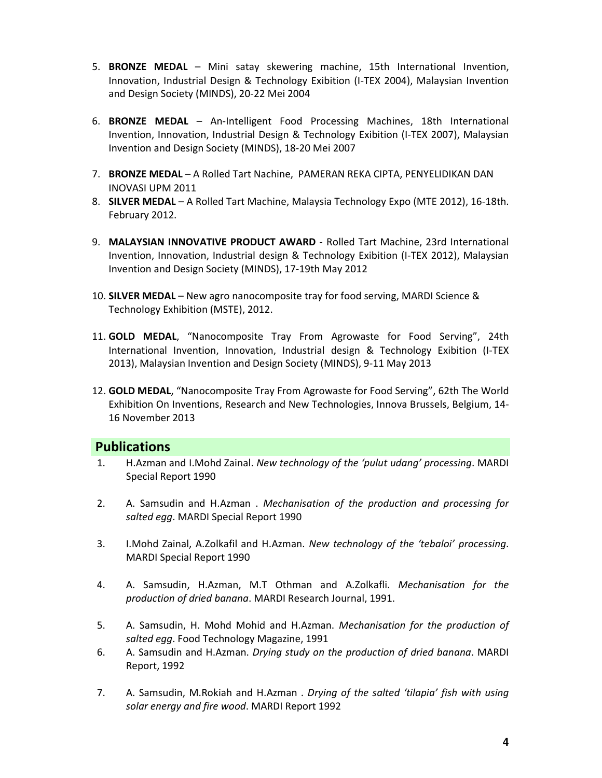- 5. BRONZE MEDAL Mini satay skewering machine, 15th International Invention, Innovation, Industrial Design & Technology Exibition (I-TEX 2004), Malaysian Invention and Design Society (MINDS), 20-22 Mei 2004
- 6. BRONZE MEDAL An-Intelligent Food Processing Machines, 18th International Invention, Innovation, Industrial Design & Technology Exibition (I-TEX 2007), Malaysian Invention and Design Society (MINDS), 18-20 Mei 2007
- 7. BRONZE MEDAL A Rolled Tart Nachine, PAMERAN REKA CIPTA, PENYELIDIKAN DAN INOVASI UPM 2011
- 8. SILVER MEDAL A Rolled Tart Machine, Malaysia Technology Expo (MTE 2012), 16-18th. February 2012.
- 9. MALAYSIAN INNOVATIVE PRODUCT AWARD Rolled Tart Machine, 23rd International Invention, Innovation, Industrial design & Technology Exibition (I-TEX 2012), Malaysian Invention and Design Society (MINDS), 17-19th May 2012
- 10. SILVER MEDAL New agro nanocomposite tray for food serving, MARDI Science & Technology Exhibition (MSTE), 2012.
- 11. **GOLD MEDAL**, "Nanocomposite Tray From Agrowaste for Food Serving", 24th International Invention, Innovation, Industrial design & Technology Exibition (I-TEX 2013), Malaysian Invention and Design Society (MINDS), 9-11 May 2013
- 12. GOLD MEDAL, "Nanocomposite Tray From Agrowaste for Food Serving", 62th The World Exhibition On Inventions, Research and New Technologies, Innova Brussels, Belgium, 14- 16 November 2013

### Publications

- 1. H.Azman and I.Mohd Zainal. New technology of the 'pulut udang' processing. MARDI Special Report 1990
- 2. A. Samsudin and H.Azman . Mechanisation of the production and processing for salted egg. MARDI Special Report 1990
- 3. I.Mohd Zainal, A.Zolkafil and H.Azman. New technology of the 'tebaloi' processing. MARDI Special Report 1990
- 4. A. Samsudin, H.Azman, M.T Othman and A.Zolkafli. Mechanisation for the production of dried banana. MARDI Research Journal, 1991.
- 5. A. Samsudin, H. Mohd Mohid and H.Azman. Mechanisation for the production of salted egg. Food Technology Magazine, 1991
- 6. A. Samsudin and H.Azman. Drying study on the production of dried banana. MARDI Report, 1992
- 7. A. Samsudin, M.Rokiah and H.Azman . Drying of the salted 'tilapia' fish with using solar energy and fire wood. MARDI Report 1992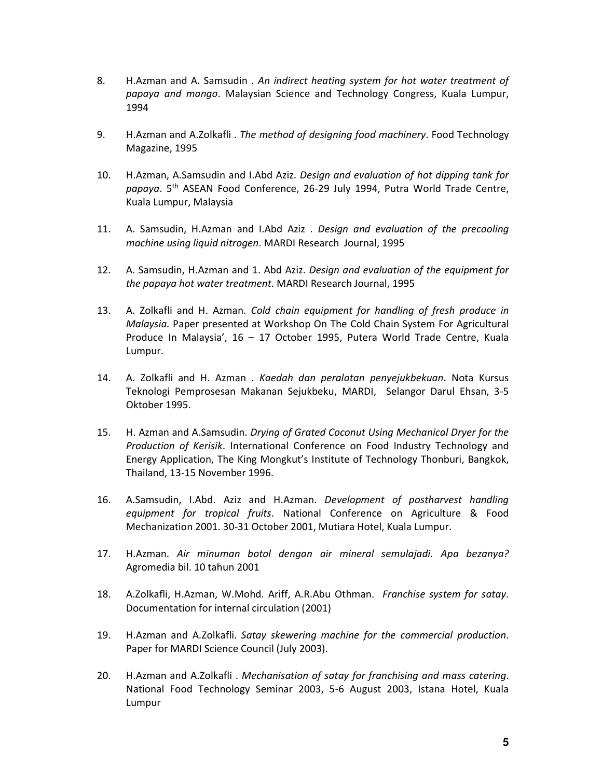- 8. H.Azman and A. Samsudin . An indirect heating system for hot water treatment of papaya and mango. Malaysian Science and Technology Congress, Kuala Lumpur, 1994
- 9. H.Azman and A.Zolkafli . The method of designing food machinery. Food Technology Magazine, 1995
- 10. H.Azman, A.Samsudin and I.Abd Aziz. Design and evaluation of hot dipping tank for papaya. 5<sup>th</sup> ASEAN Food Conference, 26-29 July 1994, Putra World Trade Centre, Kuala Lumpur, Malaysia
- 11. A. Samsudin, H.Azman and I.Abd Aziz . Design and evaluation of the precooling machine using liquid nitrogen. MARDI Research Journal, 1995
- 12. A. Samsudin, H.Azman and 1. Abd Aziz. Design and evaluation of the equipment for the papaya hot water treatment. MARDI Research Journal, 1995
- 13. A. Zolkafli and H. Azman. Cold chain equipment for handling of fresh produce in Malaysia. Paper presented at Workshop On The Cold Chain System For Agricultural Produce In Malaysia', 16 – 17 October 1995, Putera World Trade Centre, Kuala Lumpur.
- 14. A. Zolkafli and H. Azman . Kaedah dan peralatan penyejukbekuan. Nota Kursus Teknologi Pemprosesan Makanan Sejukbeku, MARDI, Selangor Darul Ehsan, 3-5 Oktober 1995.
- 15. H. Azman and A.Samsudin. Drying of Grated Coconut Using Mechanical Dryer for the Production of Kerisik. International Conference on Food Industry Technology and Energy Application, The King Mongkut's Institute of Technology Thonburi, Bangkok, Thailand, 13-15 November 1996.
- 16. A.Samsudin, I.Abd. Aziz and H.Azman. Development of postharvest handling equipment for tropical fruits. National Conference on Agriculture & Food Mechanization 2001. 30-31 October 2001, Mutiara Hotel, Kuala Lumpur.
- 17. H.Azman. Air minuman botol dengan air mineral semulajadi. Apa bezanya? Agromedia bil. 10 tahun 2001
- 18. A.Zolkafli, H.Azman, W.Mohd. Ariff, A.R.Abu Othman. Franchise system for satay. Documentation for internal circulation (2001)
- 19. H.Azman and A.Zolkafli. Satay skewering machine for the commercial production. Paper for MARDI Science Council (July 2003).
- 20. H.Azman and A.Zolkafli . Mechanisation of satay for franchising and mass catering. National Food Technology Seminar 2003, 5-6 August 2003, Istana Hotel, Kuala Lumpur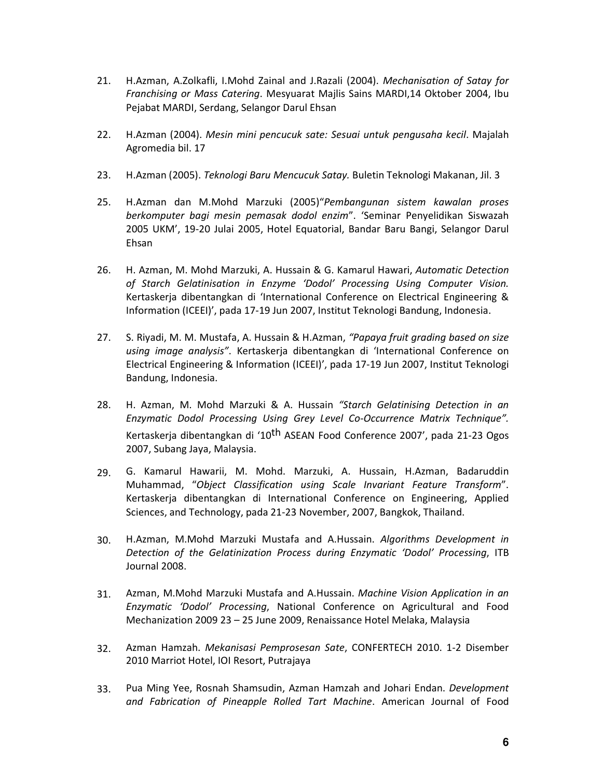- 21. H.Azman, A.Zolkafli, I.Mohd Zainal and J.Razali (2004). Mechanisation of Satay for Franchising or Mass Catering. Mesyuarat Majlis Sains MARDI,14 Oktober 2004, Ibu Pejabat MARDI, Serdang, Selangor Darul Ehsan
- 22. H.Azman (2004). Mesin mini pencucuk sate: Sesuai untuk pengusaha kecil. Majalah Agromedia bil. 17
- 23. H.Azman (2005). Teknologi Baru Mencucuk Satay. Buletin Teknologi Makanan, Jil. 3
- 25. H.Azman dan M.Mohd Marzuki (2005)"Pembangunan sistem kawalan proses berkomputer bagi mesin pemasak dodol enzim". 'Seminar Penyelidikan Siswazah 2005 UKM', 19-20 Julai 2005, Hotel Equatorial, Bandar Baru Bangi, Selangor Darul Ehsan
- 26. H. Azman, M. Mohd Marzuki, A. Hussain & G. Kamarul Hawari, Automatic Detection of Starch Gelatinisation in Enzyme 'Dodol' Processing Using Computer Vision. Kertaskerja dibentangkan di 'International Conference on Electrical Engineering & Information (ICEEI)', pada 17-19 Jun 2007, Institut Teknologi Bandung, Indonesia.
- 27. S. Riyadi, M. M. Mustafa, A. Hussain & H.Azman, "Papaya fruit grading based on size using image analysis". Kertaskerja dibentangkan di 'International Conference on Electrical Engineering & Information (ICEEI)', pada 17-19 Jun 2007, Institut Teknologi Bandung, Indonesia.
- 28. H. Azman, M. Mohd Marzuki & A. Hussain "Starch Gelatinising Detection in an Enzymatic Dodol Processing Using Grey Level Co-Occurrence Matrix Technique". Kertaskerja dibentangkan di '10<sup>th</sup> ASEAN Food Conference 2007', pada 21-23 Ogos 2007, Subang Jaya, Malaysia.
- 29. G. Kamarul Hawarii, M. Mohd. Marzuki, A. Hussain, H.Azman, Badaruddin Muhammad, "Object Classification using Scale Invariant Feature Transform". Kertaskerja dibentangkan di International Conference on Engineering, Applied Sciences, and Technology, pada 21-23 November, 2007, Bangkok, Thailand.
- 30. H.Azman, M.Mohd Marzuki Mustafa and A.Hussain. Algorithms Development in Detection of the Gelatinization Process during Enzymatic 'Dodol' Processing, ITB Journal 2008.
- 31. Azman, M.Mohd Marzuki Mustafa and A.Hussain. Machine Vision Application in an Enzymatic 'Dodol' Processing, National Conference on Agricultural and Food Mechanization 2009 23 – 25 June 2009, Renaissance Hotel Melaka, Malaysia
- 32. Azman Hamzah. Mekanisasi Pemprosesan Sate, CONFERTECH 2010. 1-2 Disember 2010 Marriot Hotel, IOI Resort, Putrajaya
- 33. Pua Ming Yee, Rosnah Shamsudin, Azman Hamzah and Johari Endan. Development and Fabrication of Pineapple Rolled Tart Machine. American Journal of Food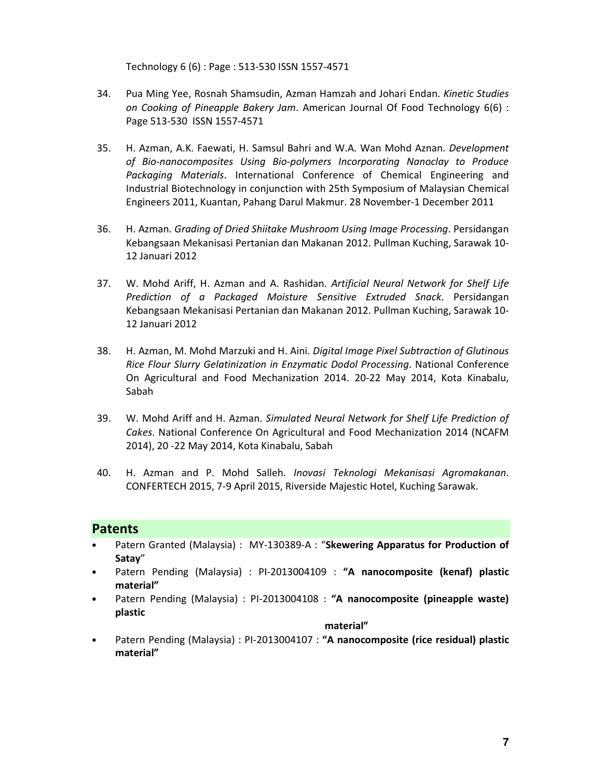Technology 6 (6) : Page : 513-530 ISSN 1557-4571

- 34. Pua Ming Yee, Rosnah Shamsudin, Azman Hamzah and Johari Endan. Kinetic Studies on Cooking of Pineapple Bakery Jam. American Journal Of Food Technology 6(6) : Page 513-530 ISSN 1557-4571
- 35. H. Azman, A.K. Faewati, H. Samsul Bahri and W.A. Wan Mohd Aznan. Development of Bio-nanocomposites Using Bio-polymers Incorporating Nanoclay to Produce Packaging Materials. International Conference of Chemical Engineering and Industrial Biotechnology in conjunction with 25th Symposium of Malaysian Chemical Engineers 2011, Kuantan, Pahang Darul Makmur. 28 November-1 December 2011
- 36. H. Azman. Grading of Dried Shiitake Mushroom Using Image Processing. Persidangan Kebangsaan Mekanisasi Pertanian dan Makanan 2012. Pullman Kuching, Sarawak 10- 12 Januari 2012
- 37. W. Mohd Ariff, H. Azman and A. Rashidan. Artificial Neural Network for Shelf Life Prediction of a Packaged Moisture Sensitive Extruded Snack. Persidangan Kebangsaan Mekanisasi Pertanian dan Makanan 2012. Pullman Kuching, Sarawak 10- 12 Januari 2012
- 38. H. Azman, M. Mohd Marzuki and H. Aini. Digital Image Pixel Subtraction of Glutinous Rice Flour Slurry Gelatinization in Enzymatic Dodol Processing. National Conference On Agricultural and Food Mechanization 2014. 20-22 May 2014, Kota Kinabalu, Sabah
- 39. W. Mohd Ariff and H. Azman. Simulated Neural Network for Shelf Life Prediction of Cakes. National Conference On Agricultural and Food Mechanization 2014 (NCAFM 2014), 20 -22 May 2014, Kota Kinabalu, Sabah
- 40. H. Azman and P. Mohd Salleh. Inovasi Teknologi Mekanisasi Agromakanan. CONFERTECH 2015, 7-9 April 2015, Riverside Majestic Hotel, Kuching Sarawak.

### **Patents**

- Patern Granted (Malaysia) : MY-130389-A : "Skewering Apparatus for Production of Satay"
- Patern Pending (Malaysia) : PI-2013004109 : "A nanocomposite (kenaf) plastic material"
- Patern Pending (Malaysia) : PI-2013004108 : "A nanocomposite (pineapple waste) plastic

#### material"

• Patern Pending (Malaysia) : PI-2013004107 : "A nanocomposite (rice residual) plastic material"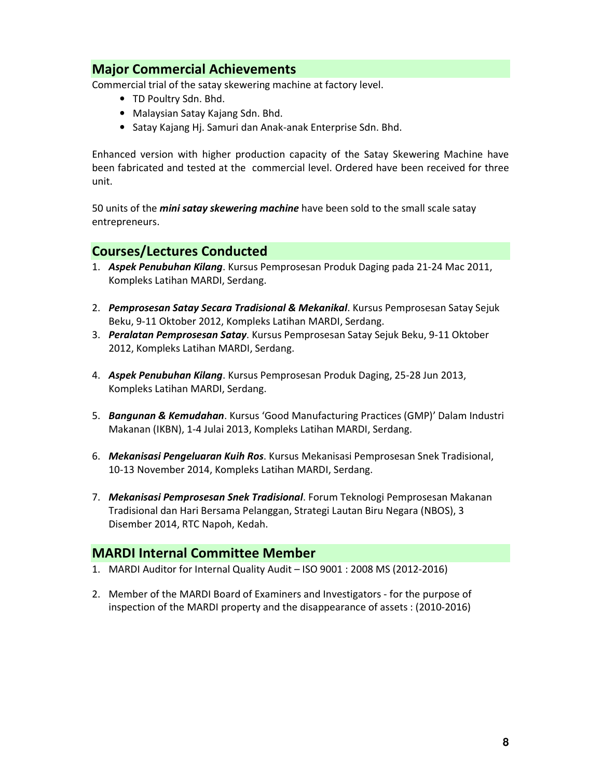# Major Commercial Achievements

Commercial trial of the satay skewering machine at factory level.

- TD Poultry Sdn. Bhd.
- Malaysian Satay Kajang Sdn. Bhd.
- Satay Kajang Hj. Samuri dan Anak-anak Enterprise Sdn. Bhd.

Enhanced version with higher production capacity of the Satay Skewering Machine have been fabricated and tested at the commercial level. Ordered have been received for three unit.

50 units of the *mini satay skewering machine* have been sold to the small scale satay entrepreneurs.

# Courses/Lectures Conducted

- 1. Aspek Penubuhan Kilang. Kursus Pemprosesan Produk Daging pada 21-24 Mac 2011, Kompleks Latihan MARDI, Serdang.
- 2. Pemprosesan Satay Secara Tradisional & Mekanikal. Kursus Pemprosesan Satay Sejuk Beku, 9-11 Oktober 2012, Kompleks Latihan MARDI, Serdang.
- 3. Peralatan Pemprosesan Satay. Kursus Pemprosesan Satay Sejuk Beku, 9-11 Oktober 2012, Kompleks Latihan MARDI, Serdang.
- 4. Aspek Penubuhan Kilang. Kursus Pemprosesan Produk Daging, 25-28 Jun 2013, Kompleks Latihan MARDI, Serdang.
- 5. Bangunan & Kemudahan. Kursus 'Good Manufacturing Practices (GMP)' Dalam Industri Makanan (IKBN), 1-4 Julai 2013, Kompleks Latihan MARDI, Serdang.
- 6. Mekanisasi Pengeluaran Kuih Ros. Kursus Mekanisasi Pemprosesan Snek Tradisional, 10-13 November 2014, Kompleks Latihan MARDI, Serdang.
- 7. Mekanisasi Pemprosesan Snek Tradisional. Forum Teknologi Pemprosesan Makanan Tradisional dan Hari Bersama Pelanggan, Strategi Lautan Biru Negara (NBOS), 3 Disember 2014, RTC Napoh, Kedah.

### MARDI Internal Committee Member

- 1. MARDI Auditor for Internal Quality Audit ISO 9001 : 2008 MS (2012-2016)
- 2. Member of the MARDI Board of Examiners and Investigators for the purpose of inspection of the MARDI property and the disappearance of assets : (2010-2016)